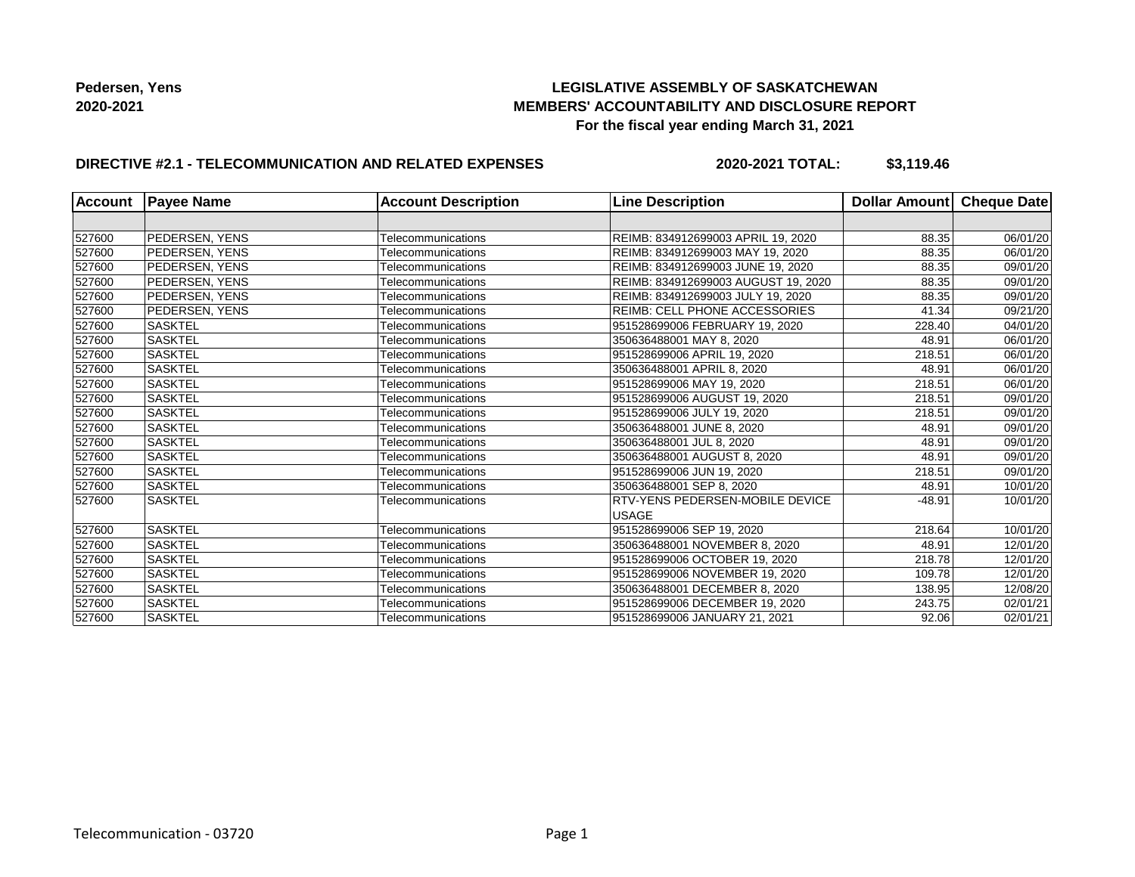## **LEGISLATIVE ASSEMBLY OF SASKATCHEWAN MEMBERS' ACCOUNTABILITY AND DISCLOSURE REPORT For the fiscal year ending March 31, 2021**

## **DIRECTIVE #2.1 - TELECOMMUNICATION AND RELATED EXPENSES**

**2020-2021 TOTAL: \$3,119.46**

| <b>Account</b> | <b>Payee Name</b>     | <b>Account Description</b> | <b>Line Description</b>                                | Dollar Amount Cheque Date |          |
|----------------|-----------------------|----------------------------|--------------------------------------------------------|---------------------------|----------|
|                |                       |                            |                                                        |                           |          |
| 527600         | <b>PEDERSEN, YENS</b> | Telecommunications         | REIMB: 834912699003 APRIL 19, 2020                     | 88.35                     | 06/01/20 |
| 527600         | PEDERSEN, YENS        | Telecommunications         | REIMB: 834912699003 MAY 19, 2020                       | 88.35                     | 06/01/20 |
| 527600         | <b>PEDERSEN, YENS</b> | Telecommunications         | REIMB: 834912699003 JUNE 19, 2020                      | 88.35                     | 09/01/20 |
| 527600         | <b>PEDERSEN, YENS</b> | Telecommunications         | REIMB: 834912699003 AUGUST 19, 2020                    | 88.35                     | 09/01/20 |
| 527600         | <b>PEDERSEN, YENS</b> | Telecommunications         | REIMB: 834912699003 JULY 19, 2020                      | 88.35                     | 09/01/20 |
| 527600         | PEDERSEN, YENS        | Telecommunications         | <b>REIMB: CELL PHONE ACCESSORIES</b>                   | 41.34                     | 09/21/20 |
| 527600         | <b>SASKTEL</b>        | Telecommunications         | 951528699006 FEBRUARY 19, 2020                         | 228.40                    | 04/01/20 |
| 527600         | <b>SASKTEL</b>        | Telecommunications         | 350636488001 MAY 8, 2020                               | 48.91                     | 06/01/20 |
| 527600         | <b>SASKTEL</b>        | Telecommunications         | 951528699006 APRIL 19, 2020                            | 218.51                    | 06/01/20 |
| 527600         | <b>SASKTEL</b>        | Telecommunications         | 350636488001 APRIL 8, 2020                             | 48.91                     | 06/01/20 |
| 527600         | <b>SASKTEL</b>        | Telecommunications         | 951528699006 MAY 19, 2020                              | 218.51                    | 06/01/20 |
| 527600         | <b>SASKTEL</b>        | Telecommunications         | 951528699006 AUGUST 19, 2020                           | 218.51                    | 09/01/20 |
| 527600         | <b>SASKTEL</b>        | Telecommunications         | 951528699006 JULY 19, 2020                             | 218.51                    | 09/01/20 |
| 527600         | <b>SASKTEL</b>        | Telecommunications         | 350636488001 JUNE 8, 2020                              | 48.91                     | 09/01/20 |
| 527600         | <b>SASKTEL</b>        | Telecommunications         | 350636488001 JUL 8, 2020                               | 48.91                     | 09/01/20 |
| 527600         | <b>SASKTEL</b>        | Telecommunications         | 350636488001 AUGUST 8, 2020                            | 48.91                     | 09/01/20 |
| 527600         | <b>SASKTEL</b>        | Telecommunications         | 951528699006 JUN 19, 2020                              | 218.51                    | 09/01/20 |
| 527600         | <b>SASKTEL</b>        | Telecommunications         | 350636488001 SEP 8, 2020                               | 48.91                     | 10/01/20 |
| 527600         | <b>SASKTEL</b>        | Telecommunications         | <b>RTV-YENS PEDERSEN-MOBILE DEVICE</b><br><b>USAGE</b> | $-48.91$                  | 10/01/20 |
| 527600         | <b>SASKTEL</b>        | Telecommunications         | 951528699006 SEP 19, 2020                              | 218.64                    | 10/01/20 |
| 527600         | <b>SASKTEL</b>        | Telecommunications         | 350636488001 NOVEMBER 8, 2020                          | 48.91                     | 12/01/20 |
| 527600         | <b>SASKTEL</b>        | Telecommunications         | 951528699006 OCTOBER 19, 2020                          | 218.78                    | 12/01/20 |
| 527600         | <b>SASKTEL</b>        | Telecommunications         | 951528699006 NOVEMBER 19, 2020                         | 109.78                    | 12/01/20 |
| 527600         | <b>SASKTEL</b>        | Telecommunications         | 350636488001 DECEMBER 8, 2020                          | 138.95                    | 12/08/20 |
| 527600         | <b>SASKTEL</b>        | Telecommunications         | 951528699006 DECEMBER 19, 2020                         | 243.75                    | 02/01/21 |
| 527600         | <b>SASKTEL</b>        | Telecommunications         | 951528699006 JANUARY 21, 2021                          | 92.06                     | 02/01/21 |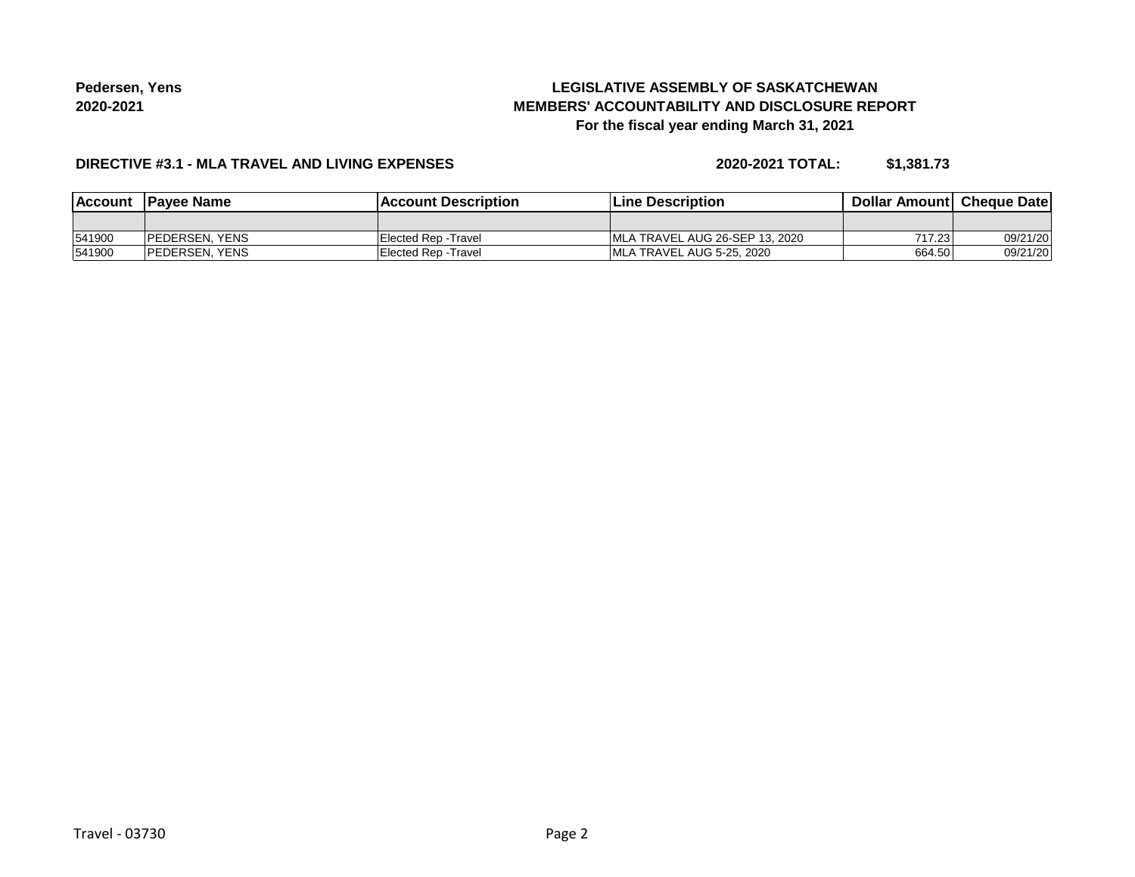# **LEGISLATIVE ASSEMBLY OF SASKATCHEWAN MEMBERS' ACCOUNTABILITY AND DISCLOSURE REPORT For the fiscal year ending March 31, 2021**

## **DIRECTIVE #3.1 - MLA TRAVEL AND LIVING EXPENSES**

**2020-2021 TOTAL: \$1,381.73**

| <b>Account</b> | <b>IPavee Name</b>     | lAccount Description | <b>Line Description</b>         | <b>Dollar Amountl Cheque Date</b> |          |
|----------------|------------------------|----------------------|---------------------------------|-----------------------------------|----------|
|                |                        |                      |                                 |                                   |          |
| 541900         | <b>IPEDERSEN, YENS</b> | Elected Rep - Travel | IMLA TRAVEL AUG 26-SEP 13, 2020 | 717.23                            | 09/21/20 |
| 541900         | <b>IPEDERSEN, YENS</b> | Elected Rep - Travel | IMLA TRAVEL AUG 5-25, 2020      | 664.50                            | 09/21/20 |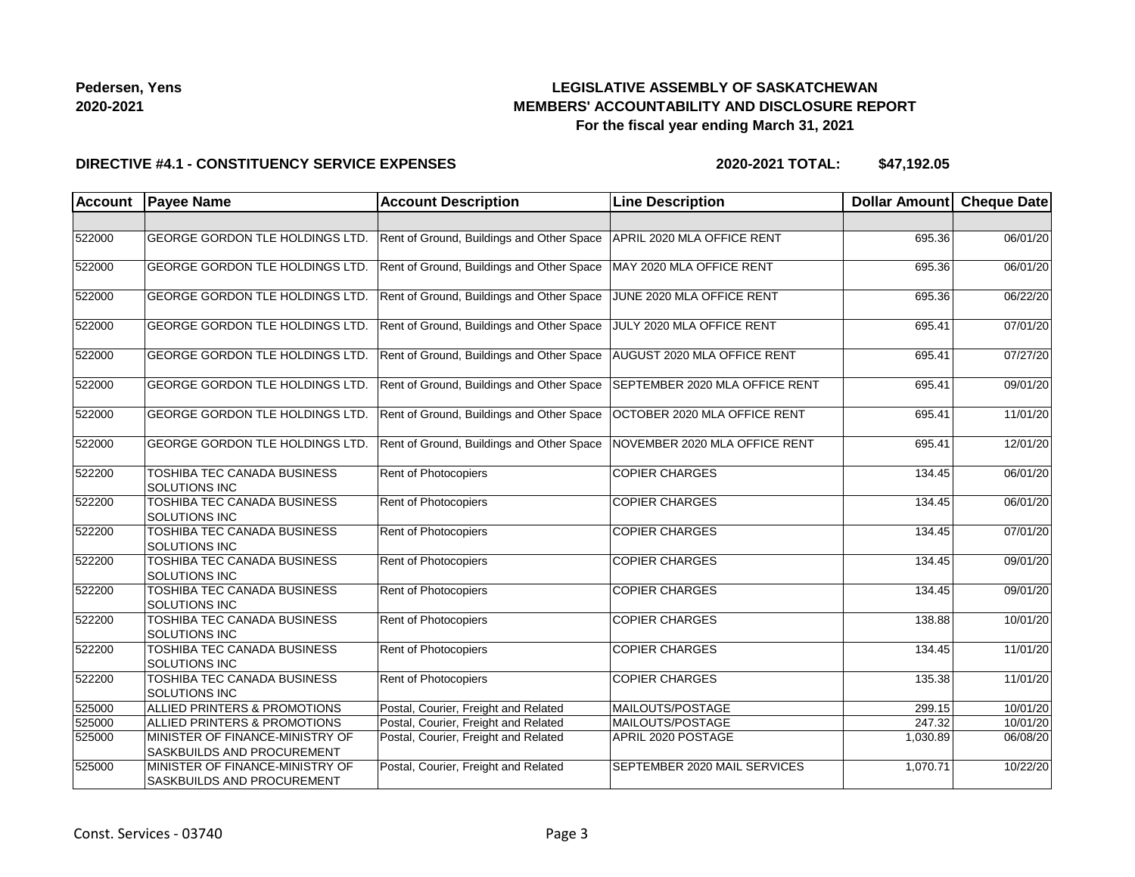## **LEGISLATIVE ASSEMBLY OF SASKATCHEWAN MEMBERS' ACCOUNTABILITY AND DISCLOSURE REPORT For the fiscal year ending March 31, 2021**

#### **DIRECTIVE #4.1 - CONSTITUENCY SERVICE EXPENSES**

**2020-2021 TOTAL: \$47,192.05**

| Account | <b>Payee Name</b>                                                    | <b>Account Description</b>                | <b>Line Description</b>        | Dollar Amount | <b>Cheque Date</b> |
|---------|----------------------------------------------------------------------|-------------------------------------------|--------------------------------|---------------|--------------------|
|         |                                                                      |                                           |                                |               |                    |
| 522000  | GEORGE GORDON TLE HOLDINGS LTD.                                      | Rent of Ground, Buildings and Other Space | APRIL 2020 MLA OFFICE RENT     | 695.36        | 06/01/20           |
| 522000  | GEORGE GORDON TLE HOLDINGS LTD.                                      | Rent of Ground, Buildings and Other Space | MAY 2020 MLA OFFICE RENT       | 695.36        | 06/01/20           |
| 522000  | GEORGE GORDON TLE HOLDINGS LTD.                                      | Rent of Ground, Buildings and Other Space | JUNE 2020 MLA OFFICE RENT      | 695.36        | 06/22/20           |
| 522000  | GEORGE GORDON TLE HOLDINGS LTD.                                      | Rent of Ground, Buildings and Other Space | JULY 2020 MLA OFFICE RENT      | 695.41        | 07/01/20           |
| 522000  | GEORGE GORDON TLE HOLDINGS LTD.                                      | Rent of Ground, Buildings and Other Space | AUGUST 2020 MLA OFFICE RENT    | 695.41        | 07/27/20           |
| 522000  | GEORGE GORDON TLE HOLDINGS LTD.                                      | Rent of Ground, Buildings and Other Space | SEPTEMBER 2020 MLA OFFICE RENT | 695.41        | 09/01/20           |
| 522000  | GEORGE GORDON TLE HOLDINGS LTD.                                      | Rent of Ground, Buildings and Other Space | OCTOBER 2020 MLA OFFICE RENT   | 695.41        | 11/01/20           |
| 522000  | GEORGE GORDON TLE HOLDINGS LTD.                                      | Rent of Ground, Buildings and Other Space | NOVEMBER 2020 MLA OFFICE RENT  | 695.41        | 12/01/20           |
| 522200  | TOSHIBA TEC CANADA BUSINESS<br>SOLUTIONS INC                         | Rent of Photocopiers                      | <b>COPIER CHARGES</b>          | 134.45        | 06/01/20           |
| 522200  | <b>TOSHIBA TEC CANADA BUSINESS</b><br><b>SOLUTIONS INC</b>           | Rent of Photocopiers                      | <b>COPIER CHARGES</b>          | 134.45        | 06/01/20           |
| 522200  | TOSHIBA TEC CANADA BUSINESS<br><b>SOLUTIONS INC</b>                  | <b>Rent of Photocopiers</b>               | <b>COPIER CHARGES</b>          | 134.45        | 07/01/20           |
| 522200  | TOSHIBA TEC CANADA BUSINESS<br><b>SOLUTIONS INC</b>                  | <b>Rent of Photocopiers</b>               | <b>COPIER CHARGES</b>          | 134.45        | 09/01/20           |
| 522200  | TOSHIBA TEC CANADA BUSINESS<br>SOLUTIONS INC                         | Rent of Photocopiers                      | <b>COPIER CHARGES</b>          | 134.45        | 09/01/20           |
| 522200  | TOSHIBA TEC CANADA BUSINESS<br>SOLUTIONS INC                         | Rent of Photocopiers                      | <b>COPIER CHARGES</b>          | 138.88        | 10/01/20           |
| 522200  | TOSHIBA TEC CANADA BUSINESS<br>SOLUTIONS INC                         | Rent of Photocopiers                      | <b>COPIER CHARGES</b>          | 134.45        | 11/01/20           |
| 522200  | TOSHIBA TEC CANADA BUSINESS<br><b>SOLUTIONS INC</b>                  | Rent of Photocopiers                      | <b>COPIER CHARGES</b>          | 135.38        | 11/01/20           |
| 525000  | ALLIED PRINTERS & PROMOTIONS                                         | Postal, Courier, Freight and Related      | MAILOUTS/POSTAGE               | 299.15        | 10/01/20           |
| 525000  | <b>ALLIED PRINTERS &amp; PROMOTIONS</b>                              | Postal, Courier, Freight and Related      | MAILOUTS/POSTAGE               | 247.32        | 10/01/20           |
| 525000  | MINISTER OF FINANCE-MINISTRY OF<br><b>SASKBUILDS AND PROCUREMENT</b> | Postal, Courier, Freight and Related      | APRIL 2020 POSTAGE             | 1,030.89      | 06/08/20           |
| 525000  | MINISTER OF FINANCE-MINISTRY OF<br>SASKBUILDS AND PROCUREMENT        | Postal, Courier, Freight and Related      | SEPTEMBER 2020 MAIL SERVICES   | 1,070.71      | 10/22/20           |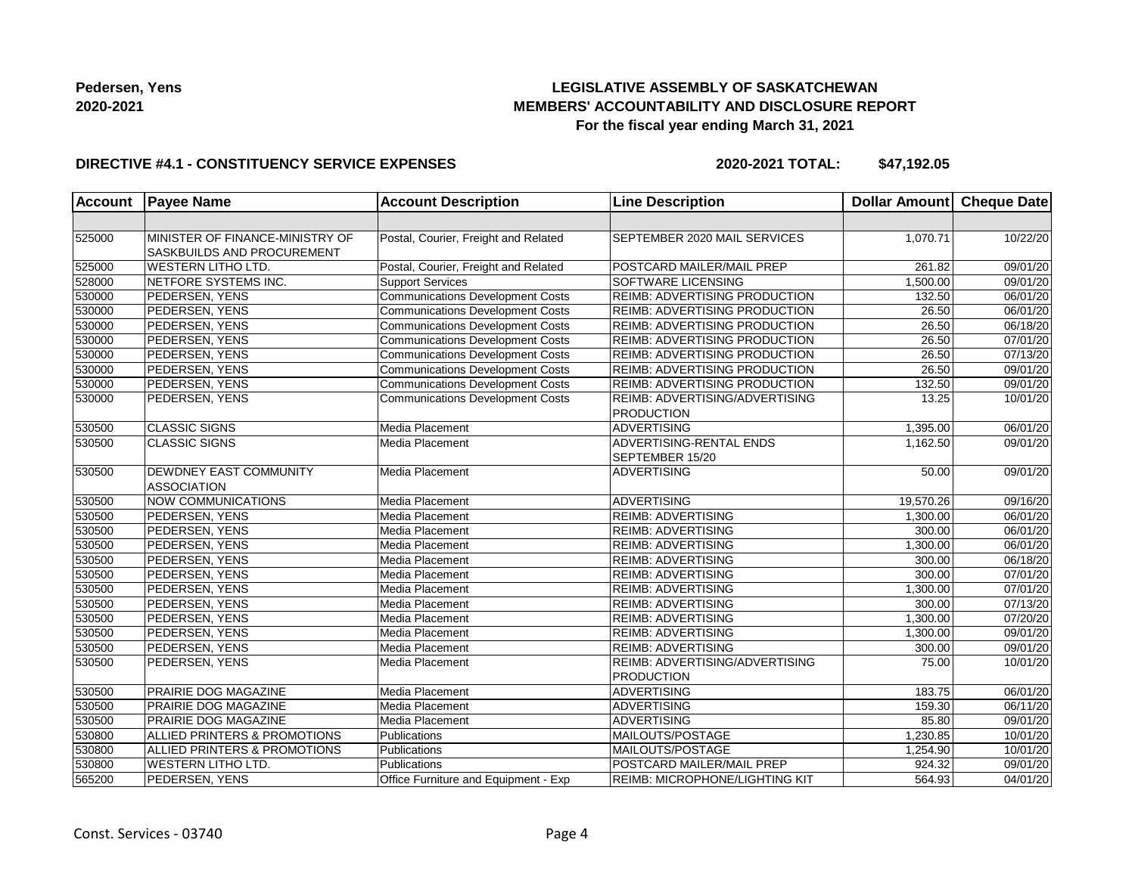## **LEGISLATIVE ASSEMBLY OF SASKATCHEWAN MEMBERS' ACCOUNTABILITY AND DISCLOSURE REPORT For the fiscal year ending March 31, 2021**

### **DIRECTIVE #4.1 - CONSTITUENCY SERVICE EXPENSES**

**2020-2021 TOTAL: \$47,192.05**

| <b>Account</b> | <b>Payee Name</b>                                             | <b>Account Description</b>              | <b>Line Description</b>                             | Dollar Amount Cheque Date |          |
|----------------|---------------------------------------------------------------|-----------------------------------------|-----------------------------------------------------|---------------------------|----------|
|                |                                                               |                                         |                                                     |                           |          |
| 525000         | MINISTER OF FINANCE-MINISTRY OF<br>SASKBUILDS AND PROCUREMENT | Postal, Courier, Freight and Related    | SEPTEMBER 2020 MAIL SERVICES                        | 1,070.71                  | 10/22/20 |
| 525000         | <b>WESTERN LITHO LTD.</b>                                     | Postal, Courier, Freight and Related    | POSTCARD MAILER/MAIL PREP                           | 261.82                    | 09/01/20 |
| 528000         | <b>INETFORE SYSTEMS INC.</b>                                  | <b>Support Services</b>                 | <b>SOFTWARE LICENSING</b>                           | 1,500.00                  | 09/01/20 |
| 530000         | PEDERSEN, YENS                                                | <b>Communications Development Costs</b> | REIMB: ADVERTISING PRODUCTION                       | 132.50                    | 06/01/20 |
| 530000         | PEDERSEN, YENS                                                | <b>Communications Development Costs</b> | <b>REIMB: ADVERTISING PRODUCTION</b>                | 26.50                     | 06/01/20 |
| 530000         | PEDERSEN, YENS                                                | <b>Communications Development Costs</b> | REIMB: ADVERTISING PRODUCTION                       | 26.50                     | 06/18/20 |
| 530000         | PEDERSEN, YENS                                                | <b>Communications Development Costs</b> | <b>REIMB: ADVERTISING PRODUCTION</b>                | 26.50                     | 07/01/20 |
| 530000         | PEDERSEN, YENS                                                | <b>Communications Development Costs</b> | <b>REIMB: ADVERTISING PRODUCTION</b>                | 26.50                     | 07/13/20 |
| 530000         | PEDERSEN, YENS                                                | <b>Communications Development Costs</b> | <b>REIMB: ADVERTISING PRODUCTION</b>                | 26.50                     | 09/01/20 |
| 530000         | PEDERSEN, YENS                                                | <b>Communications Development Costs</b> | REIMB: ADVERTISING PRODUCTION                       | 132.50                    | 09/01/20 |
| 530000         | PEDERSEN, YENS                                                | <b>Communications Development Costs</b> | REIMB: ADVERTISING/ADVERTISING<br><b>PRODUCTION</b> | 13.25                     | 10/01/20 |
| 530500         | <b>CLASSIC SIGNS</b>                                          | Media Placement                         | <b>ADVERTISING</b>                                  | 1,395.00                  | 06/01/20 |
| 530500         | <b>CLASSIC SIGNS</b>                                          | Media Placement                         | <b>ADVERTISING-RENTAL ENDS</b><br>SEPTEMBER 15/20   | 1,162.50                  | 09/01/20 |
| 530500         | <b>DEWDNEY EAST COMMUNITY</b><br><b>ASSOCIATION</b>           | Media Placement                         | <b>ADVERTISING</b>                                  | 50.00                     | 09/01/20 |
| 530500         | <b>NOW COMMUNICATIONS</b>                                     | Media Placement                         | <b>ADVERTISING</b>                                  | 19,570.26                 | 09/16/20 |
| 530500         | PEDERSEN, YENS                                                | Media Placement                         | <b>REIMB: ADVERTISING</b>                           | 1,300.00                  | 06/01/20 |
| 530500         | PEDERSEN, YENS                                                | Media Placement                         | <b>REIMB: ADVERTISING</b>                           | 300.00                    | 06/01/20 |
| 530500         | PEDERSEN, YENS                                                | Media Placement                         | <b>REIMB: ADVERTISING</b>                           | 1,300.00                  | 06/01/20 |
| 530500         | PEDERSEN, YENS                                                | Media Placement                         | <b>REIMB: ADVERTISING</b>                           | 300.00                    | 06/18/20 |
| 530500         | PEDERSEN, YENS                                                | Media Placement                         | <b>REIMB: ADVERTISING</b>                           | 300.00                    | 07/01/20 |
| 530500         | PEDERSEN, YENS                                                | Media Placement                         | <b>REIMB: ADVERTISING</b>                           | 1,300.00                  | 07/01/20 |
| 530500         | PEDERSEN, YENS                                                | Media Placement                         | <b>REIMB: ADVERTISING</b>                           | 300.00                    | 07/13/20 |
| 530500         | PEDERSEN, YENS                                                | Media Placement                         | <b>REIMB: ADVERTISING</b>                           | 1,300.00                  | 07/20/20 |
| 530500         | PEDERSEN, YENS                                                | Media Placement                         | <b>REIMB: ADVERTISING</b>                           | 1,300.00                  | 09/01/20 |
| 530500         | PEDERSEN, YENS                                                | Media Placement                         | <b>REIMB: ADVERTISING</b>                           | 300.00                    | 09/01/20 |
| 530500         | PEDERSEN, YENS                                                | Media Placement                         | REIMB: ADVERTISING/ADVERTISING<br><b>PRODUCTION</b> | 75.00                     | 10/01/20 |
| 530500         | PRAIRIE DOG MAGAZINE                                          | Media Placement                         | <b>ADVERTISING</b>                                  | 183.75                    | 06/01/20 |
| 530500         | PRAIRIE DOG MAGAZINE                                          | Media Placement                         | ADVERTISING                                         | 159.30                    | 06/11/20 |
| 530500         | <b>PRAIRIE DOG MAGAZINE</b>                                   | Media Placement                         | <b>ADVERTISING</b>                                  | 85.80                     | 09/01/20 |
| 530800         | ALLIED PRINTERS & PROMOTIONS                                  | Publications                            | MAILOUTS/POSTAGE                                    | 1,230.85                  | 10/01/20 |
| 530800         | ALLIED PRINTERS & PROMOTIONS                                  | Publications                            | MAILOUTS/POSTAGE                                    | 1,254.90                  | 10/01/20 |
| 530800         | WESTERN LITHO LTD.                                            | Publications                            | POSTCARD MAILER/MAIL PREP                           | 924.32                    | 09/01/20 |
| 565200         | PEDERSEN, YENS                                                | Office Furniture and Equipment - Exp    | REIMB: MICROPHONE/LIGHTING KIT                      | 564.93                    | 04/01/20 |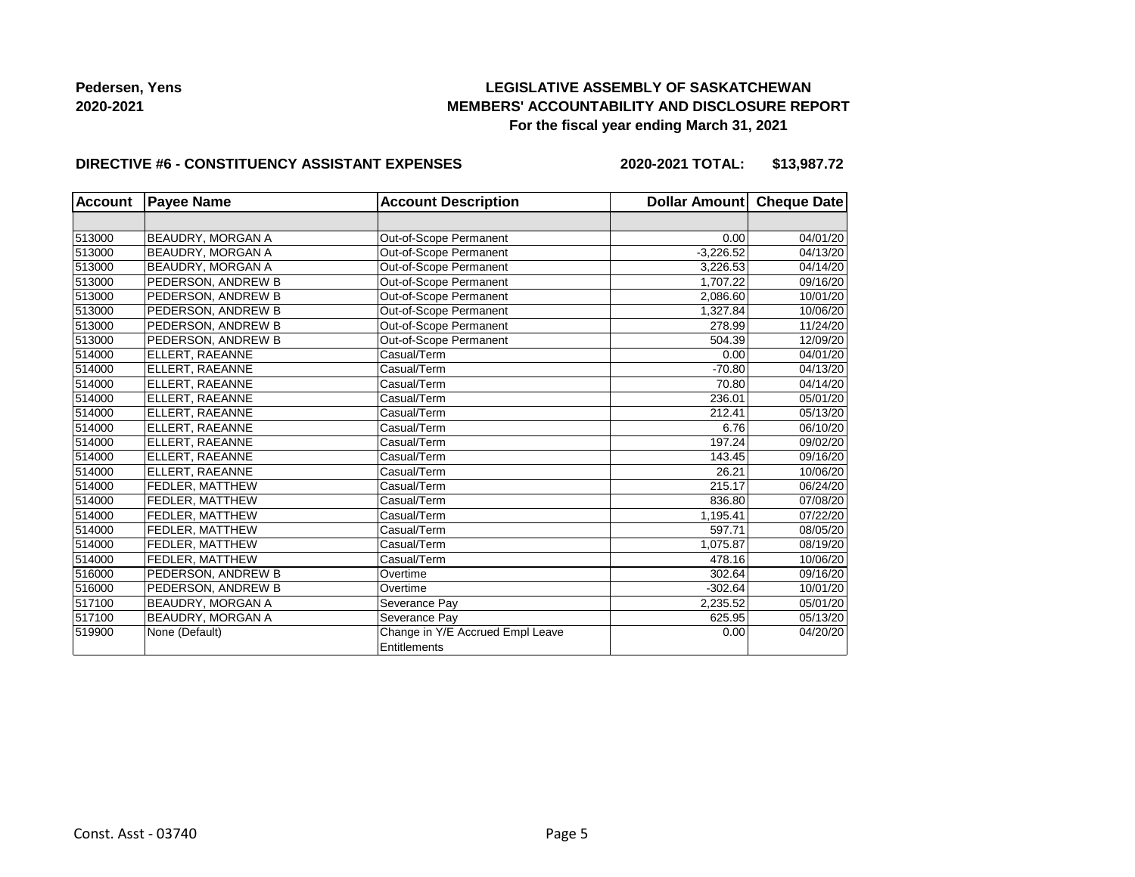## **LEGISLATIVE ASSEMBLY OF SASKATCHEWAN MEMBERS' ACCOUNTABILITY AND DISCLOSURE REPORT For the fiscal year ending March 31, 2021**

#### **DIRECTIVE #6 - CONSTITUENCY ASSISTANT EXPENSES**

**2020-2021 TOTAL: \$13,987.72**

| <b>Account</b> | <b>Payee Name</b>        | <b>Account Description</b>       | Dollar Amount | <b>Cheque Date</b> |
|----------------|--------------------------|----------------------------------|---------------|--------------------|
|                |                          |                                  |               |                    |
| 513000         | BEAUDRY, MORGAN A        | Out-of-Scope Permanent           | 0.00          | 04/01/20           |
| 513000         | BEAUDRY, MORGAN A        | Out-of-Scope Permanent           | $-3,226.52$   | 04/13/20           |
| 513000         | <b>BEAUDRY, MORGAN A</b> | Out-of-Scope Permanent           | 3,226.53      | 04/14/20           |
| 513000         | PEDERSON, ANDREW B       | Out-of-Scope Permanent           | 1,707.22      | 09/16/20           |
| 513000         | PEDERSON, ANDREW B       | Out-of-Scope Permanent           | 2,086.60      | 10/01/20           |
| 513000         | PEDERSON, ANDREW B       | Out-of-Scope Permanent           | 1.327.84      | 10/06/20           |
| 513000         | PEDERSON, ANDREW B       | Out-of-Scope Permanent           | 278.99        | 11/24/20           |
| 513000         | PEDERSON, ANDREW B       | Out-of-Scope Permanent           | 504.39        | 12/09/20           |
| 514000         | ELLERT, RAEANNE          | Casual/Term                      | 0.00          | 04/01/20           |
| 514000         | ELLERT, RAEANNE          | Casual/Term                      | $-70.80$      | 04/13/20           |
| 514000         | ELLERT, RAEANNE          | Casual/Term                      | 70.80         | 04/14/20           |
| 514000         | ELLERT, RAEANNE          | Casual/Term                      | 236.01        | 05/01/20           |
| 514000         | ELLERT, RAEANNE          | Casual/Term                      | 212.41        | 05/13/20           |
| 514000         | ELLERT, RAEANNE          | Casual/Term                      | 6.76          | 06/10/20           |
| 514000         | ELLERT, RAEANNE          | Casual/Term                      | 197.24        | 09/02/20           |
| 514000         | ELLERT, RAEANNE          | Casual/Term                      | 143.45        | 09/16/20           |
| 514000         | ELLERT, RAEANNE          | Casual/Term                      | 26.21         | 10/06/20           |
| 514000         | FEDLER, MATTHEW          | Casual/Term                      | 215.17        | 06/24/20           |
| 514000         | FEDLER, MATTHEW          | Casual/Term                      | 836.80        | 07/08/20           |
| 514000         | FEDLER, MATTHEW          | Casual/Term                      | 1,195.41      | 07/22/20           |
| 514000         | FEDLER, MATTHEW          | Casual/Term                      | 597.71        | 08/05/20           |
| 514000         | FEDLER, MATTHEW          | Casual/Term                      | 1,075.87      | 08/19/20           |
| 514000         | FEDLER, MATTHEW          | Casual/Term                      | 478.16        | 10/06/20           |
| 516000         | PEDERSON, ANDREW B       | Overtime                         | 302.64        | 09/16/20           |
| 516000         | PEDERSON, ANDREW B       | Overtime                         | $-302.64$     | 10/01/20           |
| 517100         | BEAUDRY, MORGAN A        | Severance Pay                    | 2,235.52      | 05/01/20           |
| 517100         | BEAUDRY, MORGAN A        | Severance Pay                    | 625.95        | 05/13/20           |
| 519900         | None (Default)           | Change in Y/E Accrued Empl Leave | 0.00          | 04/20/20           |
|                |                          | Entitlements                     |               |                    |